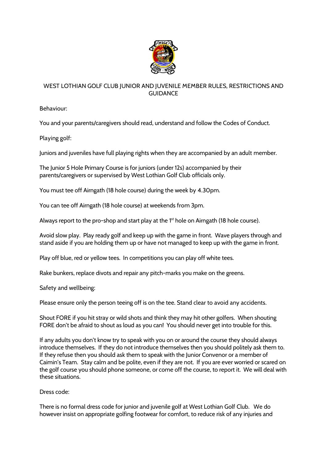

## **WEST LOTHIAN GOLF CLUB JUNIOR AND JUVENILE MEMBER RULES, RESTRICTIONS AND GUIDANCE**

**Behaviour:**

You and your parents/caregivers should read, understand and follow the Codes of Conduct.

**Playing golf:**

Juniors and juveniles have full playing rights when they are accompanied by an adult member.

The Junior 5 Hole Primary Course is for juniors (under 12s) **accompanied** by their parents/caregivers **or supervised** by West Lothian Golf Club officials only.

You must tee off Airngath (18 hole course) during the week **by 4.30pm.**

You can tee off Airngath (18 hole course) at weekends **from 3pm.**

Always report to the pro-shop and start play at the 1<sup>st</sup> hole on Airngath (18 hole course).

Avoid slow play. Play ready golf and keep up with the game in front. Wave players through and stand aside if you are holding them up or have not managed to keep up with the game in front.

Play off blue, red or yellow tees. In competitions you can play off white tees.

Rake bunkers, replace divots and repair any pitch-marks you make on the greens.

**Safety and wellbeing:**

Please ensure only the person teeing off is on the tee. **Stand clear to avoid any accidents**.

Shout **FORE** if you hit stray or wild shots and think they may hit other golfers. When shouting **FORE** don't be afraid to shout as loud as you can! You should never get into trouble for this.

If any adults you don't know try to speak with you on or around the course they should always introduce themselves. If they do not introduce themselves then you should politely ask them to. If they refuse then you should ask them to speak with the Junior Convenor or a member of Caimin's Team. Stay calm and be polite, even if they are not. If you are ever worried or scared on the golf course you should phone someone, or come off the course, to report it. We will deal with these situations.

**Dress code:**

There is no formal dress code for junior and juvenile golf at West Lothian Golf Club. We do however insist on appropriate golfing footwear for comfort, to reduce risk of any injuries and